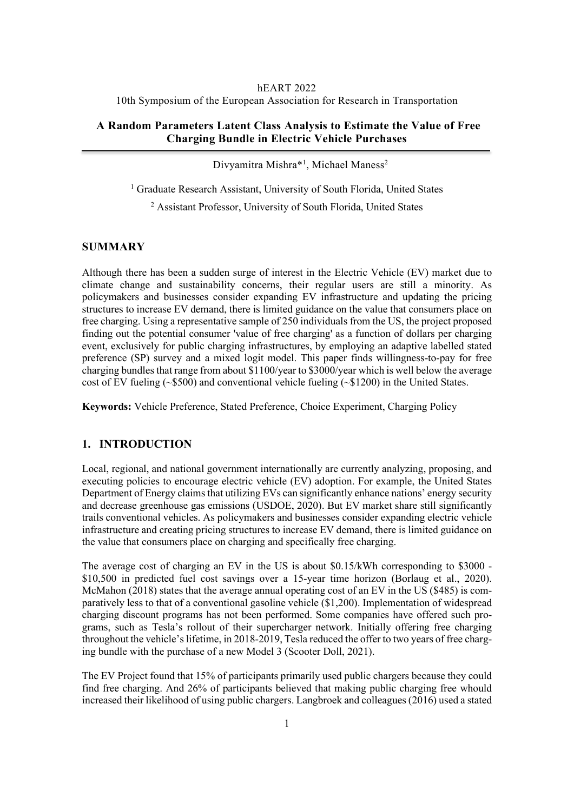#### hEART 2022

10th Symposium of the European Association for Research in Transportation

## **A Random Parameters Latent Class Analysis to Estimate the Value of Free Charging Bundle in Electric Vehicle Purchases**

Divyamitra Mishra\*<sup>1</sup>, Michael Maness<sup>2</sup>

<sup>1</sup> Graduate Research Assistant, University of South Florida, United States

<sup>2</sup> Assistant Professor, University of South Florida, United States

## **SUMMARY**

Although there has been a sudden surge of interest in the Electric Vehicle (EV) market due to climate change and sustainability concerns, their regular users are still a minority. As policymakers and businesses consider expanding EV infrastructure and updating the pricing structures to increase EV demand, there is limited guidance on the value that consumers place on free charging. Using a representative sample of 250 individuals from the US, the project proposed finding out the potential consumer 'value of free charging' as a function of dollars per charging event, exclusively for public charging infrastructures, by employing an adaptive labelled stated preference (SP) survey and a mixed logit model. This paper finds willingness-to-pay for free charging bundles that range from about \$1100/year to \$3000/year which is well below the average cost of EV fueling (~\$500) and conventional vehicle fueling (~\$1200) in the United States.

**Keywords:** Vehicle Preference, Stated Preference, Choice Experiment, Charging Policy

## **1. INTRODUCTION**

Local, regional, and national government internationally are currently analyzing, proposing, and executing policies to encourage electric vehicle (EV) adoption. For example, the United States Department of Energy claims that utilizing EVs can significantly enhance nations' energy security and decrease greenhouse gas emissions (USDOE, 2020). But EV market share still significantly trails conventional vehicles. As policymakers and businesses consider expanding electric vehicle infrastructure and creating pricing structures to increase EV demand, there is limited guidance on the value that consumers place on charging and specifically free charging.

The average cost of charging an EV in the US is about \$0.15/kWh corresponding to \$3000 - \$10,500 in predicted fuel cost savings over a 15-year time horizon (Borlaug et al., 2020). McMahon (2018) states that the average annual operating cost of an EV in the US (\$485) is comparatively less to that of a conventional gasoline vehicle (\$1,200). Implementation of widespread charging discount programs has not been performed. Some companies have offered such programs, such as Tesla's rollout of their supercharger network. Initially offering free charging throughout the vehicle's lifetime, in 2018-2019, Tesla reduced the offer to two years of free charging bundle with the purchase of a new Model 3 (Scooter Doll, 2021).

The EV Project found that 15% of participants primarily used public chargers because they could find free charging. And 26% of participants believed that making public charging free whould increased their likelihood of using public chargers. Langbroek and colleagues (2016) used a stated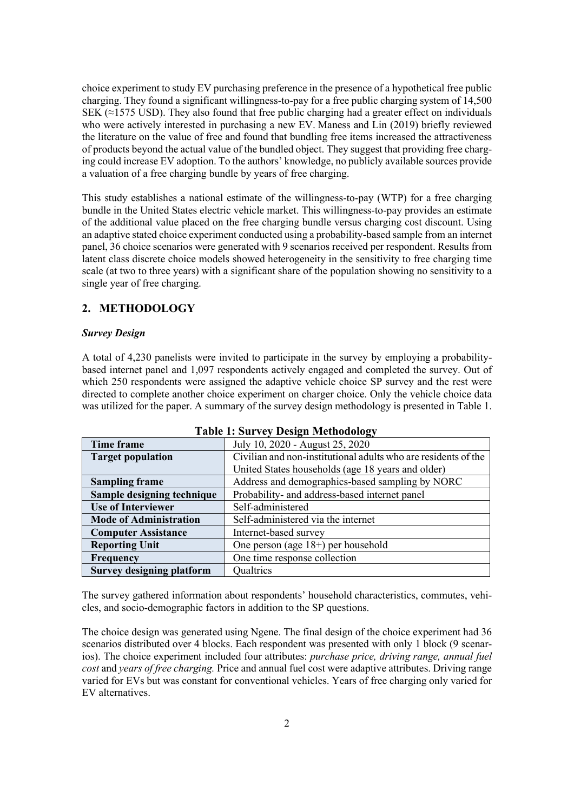choice experiment to study EV purchasing preference in the presence of a hypothetical free public charging. They found a significant willingness-to-pay for a free public charging system of 14,500 SEK  $(\approx)$  1575 USD). They also found that free public charging had a greater effect on individuals who were actively interested in purchasing a new EV. Maness and Lin (2019) briefly reviewed the literature on the value of free and found that bundling free items increased the attractiveness of products beyond the actual value of the bundled object. They suggest that providing free charging could increase EV adoption. To the authors' knowledge, no publicly available sources provide a valuation of a free charging bundle by years of free charging.

This study establishes a national estimate of the willingness-to-pay (WTP) for a free charging bundle in the United States electric vehicle market. This willingness-to-pay provides an estimate of the additional value placed on the free charging bundle versus charging cost discount. Using an adaptive stated choice experiment conducted using a probability-based sample from an internet panel, 36 choice scenarios were generated with 9 scenarios received per respondent. Results from latent class discrete choice models showed heterogeneity in the sensitivity to free charging time scale (at two to three years) with a significant share of the population showing no sensitivity to a single year of free charging.

## **2. METHODOLOGY**

## *Survey Design*

A total of 4,230 panelists were invited to participate in the survey by employing a probabilitybased internet panel and 1,097 respondents actively engaged and completed the survey. Out of which 250 respondents were assigned the adaptive vehicle choice SP survey and the rest were directed to complete another choice experiment on charger choice. Only the vehicle choice data was utilized for the paper. A summary of the survey design methodology is presented in Table 1.

| Time frame                       | July 10, 2020 - August 25, 2020                                |
|----------------------------------|----------------------------------------------------------------|
| <b>Target population</b>         | Civilian and non-institutional adults who are residents of the |
|                                  | United States households (age 18 years and older)              |
| <b>Sampling frame</b>            | Address and demographics-based sampling by NORC                |
| Sample designing technique       | Probability- and address-based internet panel                  |
| <b>Use of Interviewer</b>        | Self-administered                                              |
| <b>Mode of Administration</b>    | Self-administered via the internet                             |
| <b>Computer Assistance</b>       | Internet-based survey                                          |
| <b>Reporting Unit</b>            | One person (age $18+$ ) per household                          |
| Frequency                        | One time response collection                                   |
| <b>Survey designing platform</b> | Qualtrics                                                      |

**Table 1: Survey Design Methodology**

The survey gathered information about respondents' household characteristics, commutes, vehicles, and socio-demographic factors in addition to the SP questions.

The choice design was generated using Ngene. The final design of the choice experiment had 36 scenarios distributed over 4 blocks. Each respondent was presented with only 1 block (9 scenarios). The choice experiment included four attributes: *purchase price, driving range, annual fuel cost* and *years of free charging.* Price and annual fuel cost were adaptive attributes. Driving range varied for EVs but was constant for conventional vehicles. Years of free charging only varied for EV alternatives.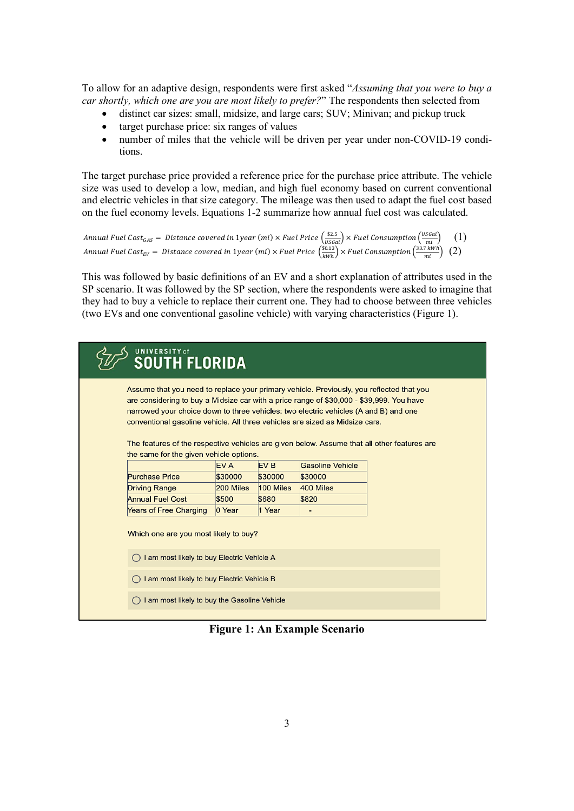To allow for an adaptive design, respondents were first asked "*Assuming that you were to buy a car shortly, which one are you are most likely to prefer?*" The respondents then selected from

- distinct car sizes: small, midsize, and large cars; SUV; Minivan; and pickup truck
- target purchase price: six ranges of values
- number of miles that the vehicle will be driven per year under non-COVID-19 conditions.

The target purchase price provided a reference price for the purchase price attribute. The vehicle size was used to develop a low, median, and high fuel economy based on current conventional and electric vehicles in that size category. The mileage was then used to adapt the fuel cost based on the fuel economy levels. Equations 1-2 summarize how annual fuel cost was calculated.

```
Annual Fuel Cost<sub>GAS</sub> = Distance covered in 1year (mi) × Fuel Price \frac{\$2.5}{(USGal)} × Fuel Consumption \frac{\text{(USGal)}}{\text{(mi)}} (1)
Annual Fuel Cost<sub>EV</sub> = Distance covered in 1year (mi) × Fuel Price \left(\frac{\$0.13}{kWh}\right) × Fuel Consumption\left(\frac{33.7 kWh}{mi}\right) (2)
```
This was followed by basic definitions of an EV and a short explanation of attributes used in the SP scenario. It was followed by the SP section, where the respondents were asked to imagine that they had to buy a vehicle to replace their current one. They had to choose between three vehicles (two EVs and one conventional gasoline vehicle) with varying characteristics (Figure 1).

| <b>UNIVERSITY</b> of<br><b>SOUTH FLORIDA</b>                                                                                                                                                                                                                                                                                                                                                                                                                |           |                 |                          |  |  |
|-------------------------------------------------------------------------------------------------------------------------------------------------------------------------------------------------------------------------------------------------------------------------------------------------------------------------------------------------------------------------------------------------------------------------------------------------------------|-----------|-----------------|--------------------------|--|--|
| Assume that you need to replace your primary vehicle. Previously, you reflected that you<br>are considering to buy a Midsize car with a price range of \$30,000 - \$39,999. You have<br>narrowed your choice down to three vehicles: two electric vehicles (A and B) and one<br>conventional gasoline vehicle. All three vehicles are sized as Midsize cars.<br>The features of the respective vehicles are given below. Assume that all other features are |           |                 |                          |  |  |
| the same for the given vehicle options.                                                                                                                                                                                                                                                                                                                                                                                                                     |           |                 |                          |  |  |
|                                                                                                                                                                                                                                                                                                                                                                                                                                                             | EV A      | EV <sub>B</sub> | Gasoline Vehicle         |  |  |
| <b>Purchase Price</b>                                                                                                                                                                                                                                                                                                                                                                                                                                       | \$30000   | \$30000         | \$30000                  |  |  |
| <b>Driving Range</b>                                                                                                                                                                                                                                                                                                                                                                                                                                        | 200 Miles | 100 Miles       | 400 Miles                |  |  |
| <b>Annual Fuel Cost</b>                                                                                                                                                                                                                                                                                                                                                                                                                                     | \$500     | \$680           | \$820                    |  |  |
| Years of Free Charging                                                                                                                                                                                                                                                                                                                                                                                                                                      | 0 Year    | 1 Year          | $\overline{\phantom{a}}$ |  |  |
| Which one are you most likely to buy?<br>$\bigcap$ I am most likely to buy Electric Vehicle A<br>I am most likely to buy Electric Vehicle B<br>I am most likely to buy the Gasoline Vehicle                                                                                                                                                                                                                                                                 |           |                 |                          |  |  |

**Figure 1: An Example Scenario**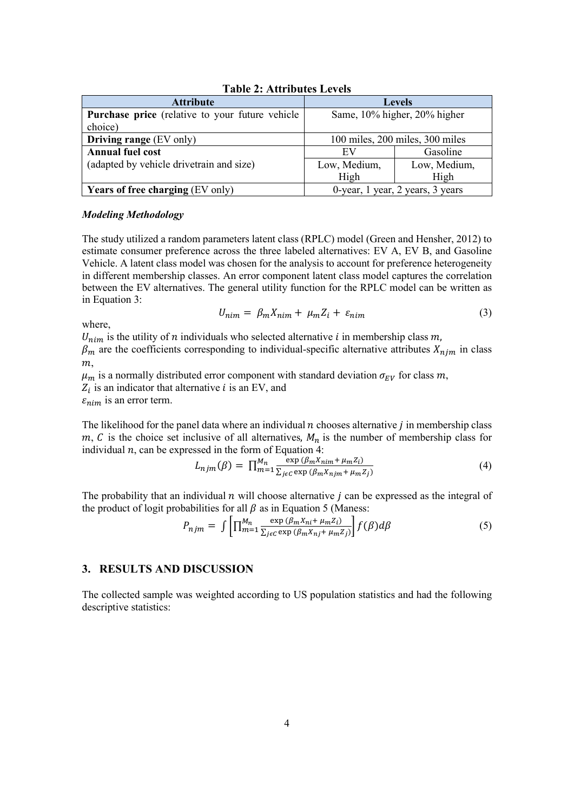| <b>Attribute</b>                                       | <b>Levels</b>                    |              |  |  |
|--------------------------------------------------------|----------------------------------|--------------|--|--|
| <b>Purchase price</b> (relative to your future vehicle | Same, 10% higher, 20% higher     |              |  |  |
| choice)                                                |                                  |              |  |  |
| <b>Driving range</b> (EV only)                         | 100 miles, 200 miles, 300 miles  |              |  |  |
| <b>Annual fuel cost</b>                                | EV                               | Gasoline     |  |  |
| (adapted by vehicle drivetrain and size)               | Low, Medium,                     | Low, Medium, |  |  |
|                                                        | High                             | High         |  |  |
| <b>Years of free charging (EV only)</b>                | 0-year, 1 year, 2 years, 3 years |              |  |  |

**Table 2: Attributes Levels**

#### *Modeling Methodology*

The study utilized a random parameters latent class (RPLC) model (Green and Hensher, 2012) to estimate consumer preference across the three labeled alternatives: EV A, EV B, and Gasoline Vehicle. A latent class model was chosen for the analysis to account for preference heterogeneity in different membership classes. An error component latent class model captures the correlation between the EV alternatives. The general utility function for the RPLC model can be written as in Equation 3:

$$
U_{nim} = \beta_m X_{nim} + \mu_m Z_i + \varepsilon_{nim} \tag{3}
$$

where,

 $U_{nim}$  is the utility of n individuals who selected alternative i in membership class m,

 $\beta_m$  are the coefficients corresponding to individual-specific alternative attributes  $X_{n,m}$  in class  $m,$ 

 $\mu_m$  is a normally distributed error component with standard deviation  $\sigma_{EV}$  for class m,  $Z_i$  is an indicator that alternative i is an EV, and  $\varepsilon_{nim}$  is an error term.

The likelihood for the panel data where an individual  $n$  chooses alternative  $j$  in membership class  $m, C$  is the choice set inclusive of all alternatives,  $M_n$  is the number of membership class for individual  $n$ , can be expressed in the form of Equation 4:

$$
L_{njm}(\beta) = \prod_{m=1}^{M_n} \frac{\exp\left(\beta_m X_{nim} + \mu_m Z_i\right)}{\sum_{j \in C} \exp\left(\beta_m X_{njm} + \mu_m Z_j\right)}\tag{4}
$$

The probability that an individual  $n$  will choose alternative  $j$  can be expressed as the integral of the product of logit probabilities for all  $\beta$  as in Equation 5 (Maness:

$$
P_{njm} = \int \left[ \prod_{m=1}^{M_n} \frac{\exp(\beta_m X_{ni} + \mu_m Z_i)}{\sum_{j \in C} \exp(\beta_m X_{nj} + \mu_m Z_j)} \right] f(\beta) d\beta \tag{5}
$$

## **3. RESULTS AND DISCUSSION**

The collected sample was weighted according to US population statistics and had the following descriptive statistics: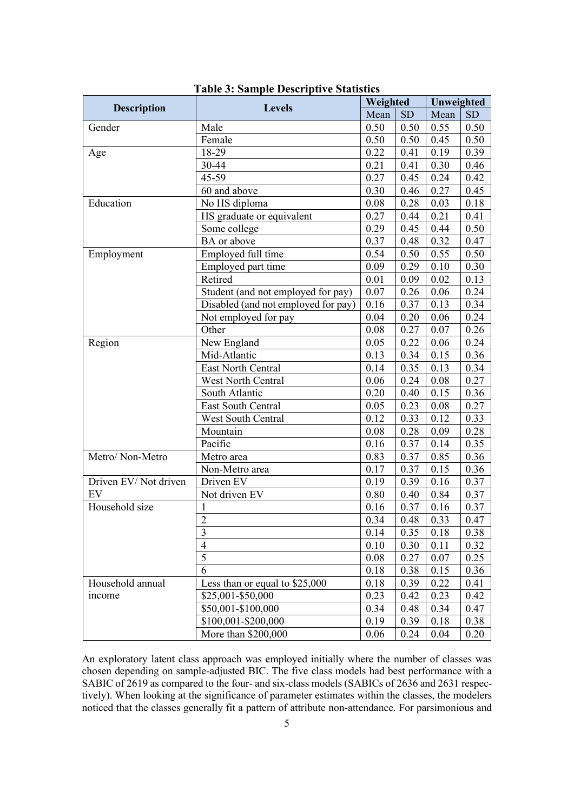|                      |                                     | Weighted |      | Unweighted |           |
|----------------------|-------------------------------------|----------|------|------------|-----------|
| <b>Description</b>   | <b>Levels</b>                       | Mean     | SD   | Mean       | <b>SD</b> |
| Gender               | Male                                | 0.50     | 0.50 | 0.55       | 0.50      |
|                      | Female                              | 0.50     | 0.50 | 0.45       | 0.50      |
| Age                  | 18-29                               | 0.22     | 0.41 | 0.19       | 0.39      |
|                      | 30-44                               | 0.21     | 0.41 | 0.30       | 0.46      |
|                      | 45-59                               | 0.27     | 0.45 | 0.24       | 0.42      |
|                      | 60 and above                        | 0.30     | 0.46 | 0.27       | 0.45      |
| Education            | No HS diploma                       | $0.08\,$ | 0.28 | 0.03       | 0.18      |
|                      | HS graduate or equivalent           | 0.27     | 0.44 | 0.21       | 0.41      |
|                      | Some college                        | 0.29     | 0.45 | 0.44       | 0.50      |
|                      | BA or above                         | 0.37     | 0.48 | 0.32       | 0.47      |
| Employment           | Employed full time                  | 0.54     | 0.50 | 0.55       | 0.50      |
|                      | Employed part time                  | 0.09     | 0.29 | 0.10       | 0.30      |
|                      | Retired                             | 0.01     | 0.09 | 0.02       | 0.13      |
|                      | Student (and not employed for pay)  | 0.07     | 0.26 | 0.06       | 0.24      |
|                      | Disabled (and not employed for pay) | 0.16     | 0.37 | 0.13       | 0.34      |
|                      | Not employed for pay                | 0.04     | 0.20 | 0.06       | 0.24      |
|                      | Other                               | 0.08     | 0.27 | 0.07       | 0.26      |
| Region               | New England                         | 0.05     | 0.22 | 0.06       | 0.24      |
|                      | Mid-Atlantic                        | 0.13     | 0.34 | 0.15       | 0.36      |
|                      | East North Central                  | 0.14     | 0.35 | 0.13       | 0.34      |
|                      | West North Central                  | 0.06     | 0.24 | 0.08       | 0.27      |
|                      | South Atlantic                      | 0.20     | 0.40 | 0.15       | 0.36      |
|                      | East South Central                  | 0.05     | 0.23 | 0.08       | 0.27      |
|                      | <b>West South Central</b>           | 0.12     | 0.33 | 0.12       | 0.33      |
|                      | Mountain                            | 0.08     | 0.28 | 0.09       | 0.28      |
|                      | Pacific                             | 0.16     | 0.37 | 0.14       | 0.35      |
| Metro/Non-Metro      | Metro area                          | 0.83     | 0.37 | 0.85       | 0.36      |
|                      | Non-Metro area                      | 0.17     | 0.37 | 0.15       | 0.36      |
| Driven EV/Not driven | Driven EV                           | 0.19     | 0.39 | 0.16       | 0.37      |
| EV                   | Not driven EV                       | 0.80     | 0.40 | 0.84       | 0.37      |
| Household size       | 1                                   | 0.16     | 0.37 | 0.16       | 0.37      |
|                      | $\overline{2}$                      | 0.34     | 0.48 | 0.33       | 0.47      |
|                      | 3                                   | 0.14     | 0.35 | 0.18       | 0.38      |
|                      | $\overline{4}$                      | 0.10     | 0.30 | 0.11       | 0.32      |
|                      | 5                                   | 0.08     | 0.27 | 0.07       | 0.25      |
|                      | 6                                   | 0.18     | 0.38 | 0.15       | 0.36      |
| Household annual     | Less than or equal to \$25,000      | 0.18     | 0.39 | 0.22       | 0.41      |
| income               | \$25,001-\$50,000                   | 0.23     | 0.42 | 0.23       | 0.42      |
|                      | \$50,001-\$100,000                  | 0.34     | 0.48 | 0.34       | 0.47      |
|                      | \$100,001-\$200,000                 | 0.19     | 0.39 | 0.18       | 0.38      |
|                      | More than \$200,000                 | 0.06     | 0.24 | 0.04       | 0.20      |

**Table 3: Sample Descriptive Statistics**

An exploratory latent class approach was employed initially where the number of classes was chosen depending on sample-adjusted BIC. The five class models had best performance with a SABIC of 2619 as compared to the four- and six-class models (SABICs of 2636 and 2631 respectively). When looking at the significance of parameter estimates within the classes, the modelers noticed that the classes generally fit a pattern of attribute non-attendance. For parsimonious and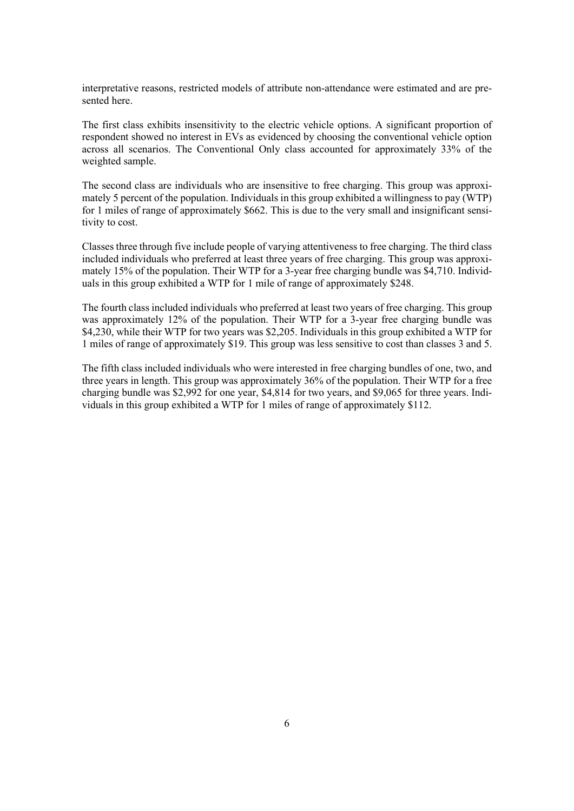interpretative reasons, restricted models of attribute non-attendance were estimated and are presented here.

The first class exhibits insensitivity to the electric vehicle options. A significant proportion of respondent showed no interest in EVs as evidenced by choosing the conventional vehicle option across all scenarios. The Conventional Only class accounted for approximately 33% of the weighted sample.

The second class are individuals who are insensitive to free charging. This group was approximately 5 percent of the population. Individuals in this group exhibited a willingness to pay (WTP) for 1 miles of range of approximately \$662. This is due to the very small and insignificant sensitivity to cost.

Classes three through five include people of varying attentiveness to free charging. The third class included individuals who preferred at least three years of free charging. This group was approximately 15% of the population. Their WTP for a 3-year free charging bundle was \$4,710. Individuals in this group exhibited a WTP for 1 mile of range of approximately \$248.

The fourth class included individuals who preferred at least two years of free charging. This group was approximately 12% of the population. Their WTP for a 3-year free charging bundle was \$4,230, while their WTP for two years was \$2,205. Individuals in this group exhibited a WTP for 1 miles of range of approximately \$19. This group was less sensitive to cost than classes 3 and 5.

The fifth class included individuals who were interested in free charging bundles of one, two, and three years in length. This group was approximately 36% of the population. Their WTP for a free charging bundle was \$2,992 for one year, \$4,814 for two years, and \$9,065 for three years. Individuals in this group exhibited a WTP for 1 miles of range of approximately \$112.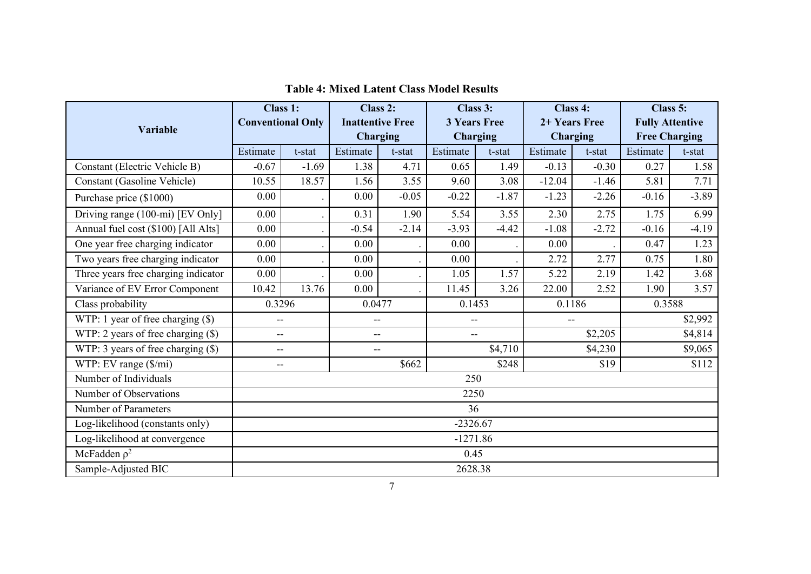|                                      | Class 1:                 |                                                    | Class 2:                |         | Class 3:                 |         | Class 4:        |         | Class 5:               |         |
|--------------------------------------|--------------------------|----------------------------------------------------|-------------------------|---------|--------------------------|---------|-----------------|---------|------------------------|---------|
| <b>Variable</b>                      | <b>Conventional Only</b> |                                                    | <b>Inattentive Free</b> |         | <b>3 Years Free</b>      |         | 2+ Years Free   |         | <b>Fully Attentive</b> |         |
|                                      |                          |                                                    | <b>Charging</b>         |         | <b>Charging</b>          |         | <b>Charging</b> |         | <b>Free Charging</b>   |         |
|                                      | Estimate                 | t-stat                                             | Estimate                | t-stat  | Estimate                 | t-stat  | Estimate        | t-stat  | Estimate               | t-stat  |
| Constant (Electric Vehicle B)        | $-0.67$                  | $-1.69$                                            | 1.38                    | 4.71    | 0.65                     | 1.49    | $-0.13$         | $-0.30$ | 0.27                   | 1.58    |
| Constant (Gasoline Vehicle)          | 10.55                    | 18.57                                              | 1.56                    | 3.55    | 9.60                     | 3.08    | $-12.04$        | $-1.46$ | 5.81                   | 7.71    |
| Purchase price (\$1000)              | 0.00                     |                                                    | 0.00                    | $-0.05$ | $-0.22$                  | $-1.87$ | $-1.23$         | $-2.26$ | $-0.16$                | $-3.89$ |
| Driving range (100-mi) [EV Only]     | 0.00                     |                                                    | 0.31                    | 1.90    | 5.54                     | 3.55    | 2.30            | 2.75    | 1.75                   | 6.99    |
| Annual fuel cost (\$100) [All Alts]  | 0.00                     |                                                    | $-0.54$                 | $-2.14$ | $-3.93$                  | $-4.42$ | $-1.08$         | $-2.72$ | $-0.16$                | $-4.19$ |
| One year free charging indicator     | 0.00                     |                                                    | 0.00                    |         | 0.00                     |         | 0.00            |         | 0.47                   | 1.23    |
| Two years free charging indicator    | 0.00                     |                                                    | 0.00                    |         | 0.00                     |         | 2.72            | 2.77    | 0.75                   | 1.80    |
| Three years free charging indicator  | 0.00                     |                                                    | 0.00                    | $\cdot$ | 1.05                     | 1.57    | 5.22            | 2.19    | 1.42                   | 3.68    |
| Variance of EV Error Component       | 10.42                    | 13.76                                              | 0.00                    |         | 11.45                    | 3.26    | 22.00           | 2.52    | 1.90                   | 3.57    |
| Class probability                    | 0.3296                   |                                                    | 0.0477                  |         | 0.1453                   |         | 0.1186          |         | 0.3588                 |         |
| WTP: 1 year of free charging $(\$)$  | $-$                      |                                                    | --                      |         | $\overline{\phantom{a}}$ |         |                 |         | \$2,992                |         |
| WTP: 2 years of free charging $(\$)$ | $-$                      |                                                    | $-$                     |         | $\overline{a}$           |         | \$2,205         |         | \$4,814                |         |
| WTP: 3 years of free charging $(\$)$ | $-$<br>$-$               |                                                    |                         | \$4,710 |                          | \$4,230 |                 | \$9,065 |                        |         |
| WTP: EV range (\$/mi)                |                          | \$662<br>\$248<br>\$19<br>$\overline{\phantom{a}}$ |                         |         |                          |         |                 | \$112   |                        |         |
| Number of Individuals                |                          | 250                                                |                         |         |                          |         |                 |         |                        |         |
| Number of Observations               | 2250                     |                                                    |                         |         |                          |         |                 |         |                        |         |
| Number of Parameters                 | 36                       |                                                    |                         |         |                          |         |                 |         |                        |         |
| Log-likelihood (constants only)      | $-2326.67$               |                                                    |                         |         |                          |         |                 |         |                        |         |
| Log-likelihood at convergence        | $-1271.86$               |                                                    |                         |         |                          |         |                 |         |                        |         |
| McFadden $\rho^2$                    | 0.45                     |                                                    |                         |         |                          |         |                 |         |                        |         |
| Sample-Adjusted BIC                  | 2628.38                  |                                                    |                         |         |                          |         |                 |         |                        |         |

# **Table 4: Mixed Latent Class Model Results**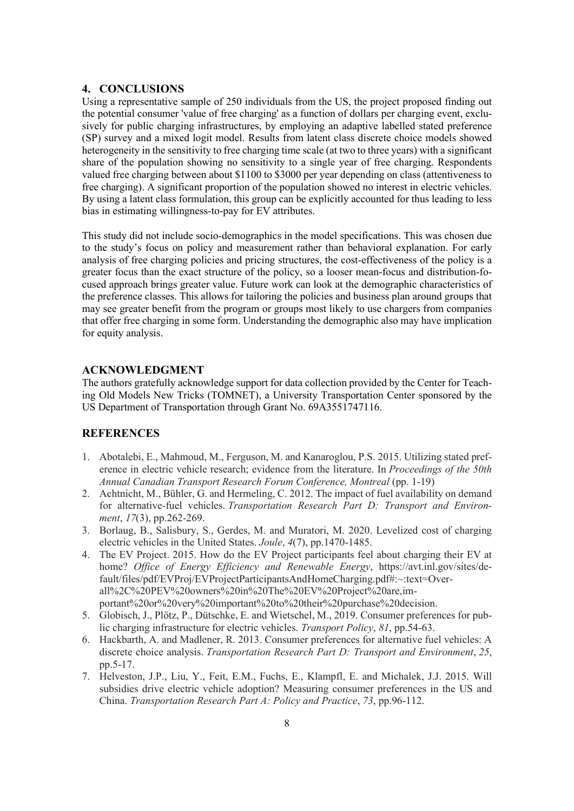### **4. CONCLUSIONS**

Using a representative sample of 250 individuals from the US, the project proposed finding out the potential consumer 'value of free charging' as a function of dollars per charging event, exclusively for public charging infrastructures, by employing an adaptive labelled stated preference (SP) survey and a mixed logit model. Results from latent class discrete choice models showed heterogeneity in the sensitivity to free charging time scale (at two to three years) with a significant share of the population showing no sensitivity to a single year of free charging. Respondents valued free charging between about \$1100 to \$3000 per year depending on class (attentiveness to free charging). A significant proportion of the population showed no interest in electric vehicles. By using a latent class formulation, this group can be explicitly accounted for thus leading to less bias in estimating willingness-to-pay for EV attributes.

This study did not include socio-demographics in the model specifications. This was chosen due to the study's focus on policy and measurement rather than behavioral explanation. For early analysis of free charging policies and pricing structures, the cost-effectiveness of the policy is a greater focus than the exact structure of the policy, so a looser mean-focus and distribution-focused approach brings greater value. Future work can look at the demographic characteristics of the preference classes. This allows for tailoring the policies and business plan around groups that may see greater benefit from the program or groups most likely to use chargers from companies that offer free charging in some form. Understanding the demographic also may have implication for equity analysis.

#### **ACKNOWLEDGMENT**

The authors gratefully acknowledge support for data collection provided by the Center for Teaching Old Models New Tricks (TOMNET), a University Transportation Center sponsored by the US Department of Transportation through Grant No. 69A3551747116.

## **REFERENCES**

- 1. Abotalebi, E., Mahmoud, M., Ferguson, M. and Kanaroglou, P.S. 2015. Utilizing stated preference in electric vehicle research; evidence from the literature. In *Proceedings of the 50th Annual Canadian Transport Research Forum Conference, Montreal* (pp. 1-19)
- 2. Achtnicht, M., Bühler, G. and Hermeling, C. 2012. The impact of fuel availability on demand for alternative-fuel vehicles. *Transportation Research Part D: Transport and Environment*, *17*(3), pp.262-269.
- 3. Borlaug, B., Salisbury, S., Gerdes, M. and Muratori, M. 2020. Levelized cost of charging electric vehicles in the United States. *Joule*, *4*(7), pp.1470-1485.
- 4. The EV Project. 2015. How do the EV Project participants feel about charging their EV at home? *Office of Energy Efficiency and Renewable Energy*, https://avt.inl.gov/sites/default/files/pdf/EVProj/EVProjectParticipantsAndHomeCharging.pdf#:~:text=Overall%2C%20PEV%20owners%20in%20The%20EV%20Project%20are,important%20or%20very%20important%20to%20their%20purchase%20decision.
- 5. Globisch, J., Plötz, P., Dütschke, E. and Wietschel, M., 2019. Consumer preferences for public charging infrastructure for electric vehicles. *Transport Policy*, *81*, pp.54-63.
- 6. Hackbarth, A. and Madlener, R. 2013. Consumer preferences for alternative fuel vehicles: A discrete choice analysis. *Transportation Research Part D: Transport and Environment*, *25*, pp.5-17.
- 7. Helveston, J.P., Liu, Y., Feit, E.M., Fuchs, E., Klampfl, E. and Michalek, J.J. 2015. Will subsidies drive electric vehicle adoption? Measuring consumer preferences in the US and China. *Transportation Research Part A: Policy and Practice*, *73*, pp.96-112.